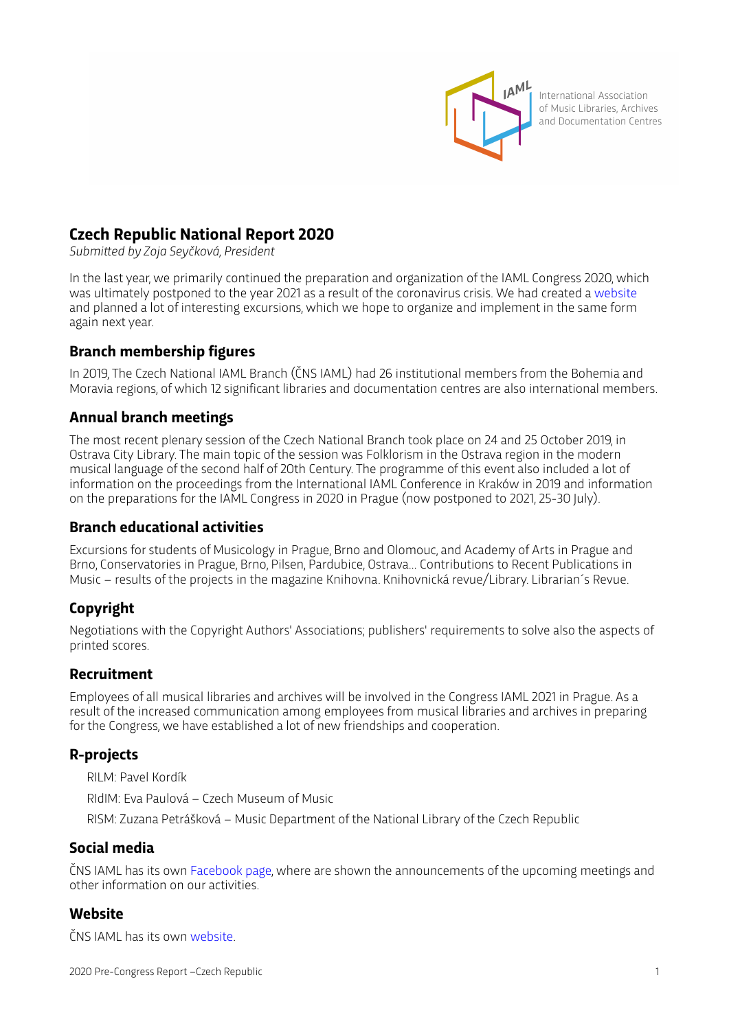

International Association of Music Libraries, Archives and Documentation Centres

## **Czech Republic National Report 2020**

*Submited by Zoja Seyčková, President*

In the last year, we primarily continued the preparation and organization of the IAML Congress 2020, which was ultimately postponed to the year 2021 as a result of the coronavirus crisis. We had created a [website](http://www.iaml2020.cz) and planned a lot of interesting excursions, which we hope to organize and implement in the same form again next year.

#### **Branch membership figures**

In 2019, The Czech National IAML Branch (ČNS IAML) had 26 institutional members from the Bohemia and Moravia regions, of which 12 significant libraries and documentation centres are also international members.

#### **Annual branch meetings**

The most recent plenary session of the Czech National Branch took place on 24 and 25 October 2019, in Ostrava City Library. The main topic of the session was Folklorism in the Ostrava region in the modern musical language of the second half of 20th Century. The programme of this event also included a lot of information on the proceedings from the International IAML Conference in Kraków in 2019 and information on the preparations for the IAML Congress in 2020 in Prague (now postponed to 2021, 25-30 July).

#### **Branch educational activities**

Excursions for students of Musicology in Prague, Brno and Olomouc, and Academy of Arts in Prague and Brno, Conservatories in Prague, Brno, Pilsen, Pardubice, Ostrava… Contributions to Recent Publications in Music – results of the projects in the magazine Knihovna. Knihovnická revue/Library. Librarian´s Revue.

## **Copyright**

Negotiations with the Copyright Authors' Associations; publishers' requirements to solve also the aspects of printed scores.

#### **Recruitment**

Employees of all musical libraries and archives will be involved in the Congress IAML 2021 in Prague. As a result of the increased communication among employees from musical libraries and archives in preparing for the Congress, we have established a lot of new friendships and cooperation.

## **R-projects**

RILM: Pavel Kordík

RIdIM: Eva Paulová – Czech Museum of Music

RISM: Zuzana Petrášková – Music Department of the National Library of the Czech Republic

#### **Social media**

ČNS IAML has its own [Facebook page,](https://www.facebook.com/groups/467059256651444/) where are shown the announcements of the upcoming meetings and other information on our activities.

#### **Website**

ČNS IAML has its own [website.](http://wwwold.nkp.cz/iaml/)